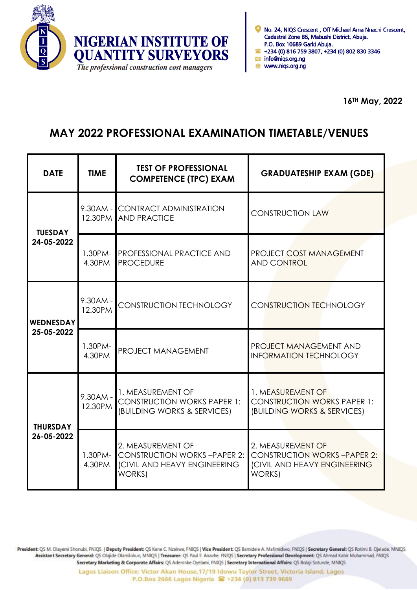



www.niqs.org.ng

## **MAY 2022 PROFESSIONAL EXAMINATION TIMETABLE/VENUES**

| <b>DATE</b>                    | <b>TIME</b>           | <b>TEST OF PROFESSIONAL</b><br><b>COMPETENCE (TPC) EXAM</b>                                              | <b>GRADUATESHIP EXAM (GDE)</b>                                                                           |
|--------------------------------|-----------------------|----------------------------------------------------------------------------------------------------------|----------------------------------------------------------------------------------------------------------|
| <b>TUESDAY</b><br>24-05-2022   | 12.30PM               | 9.30AM - CONTRACT ADMINISTRATION<br><b>AND PRACTICE</b>                                                  | <b>CONSTRUCTION LAW</b>                                                                                  |
|                                | $1.30$ PM-<br>4.30PM  | <b>PROFESSIONAL PRACTICE AND</b><br><b>PROCEDURE</b>                                                     | <b>PROJECT COST MANAGEMENT</b><br><b>AND CONTROL</b>                                                     |
| <b>WEDNESDAY</b><br>25-05-2022 | $9.30AM -$<br>12.30PM | CONSTRUCTION TECHNOLOGY                                                                                  | <b>CONSTRUCTION TECHNOLOGY</b>                                                                           |
|                                | $1.30PM-$<br>4.30PM   | PROJECT MANAGEMENT                                                                                       | <b>PROJECT MANAGEMENT AND</b><br><b>INFORMATION TECHNOLOGY</b>                                           |
| <b>THURSDAY</b><br>26-05-2022  | $9.30AM -$<br>12.30PM | 1. MEASUREMENT OF<br><b>CONSTRUCTION WORKS PAPER 1:</b><br>(BUILDING WORKS & SERVICES)                   | 1. MEASUREMENT OF<br><b>CONSTRUCTION WORKS PAPER 1:</b><br>(BUILDING WORKS & SERVICES)                   |
|                                | 1.30PM-<br>4.30PM     | 2. MEASUREMENT OF<br><b>CONSTRUCTION WORKS-PAPER 2:</b><br>(CIVIL AND HEAVY ENGINEERING<br><b>WORKS)</b> | 2. MEASUREMENT OF<br><b>CONSTRUCTION WORKS-PAPER 2:</b><br>(CIVIL AND HEAVY ENGINEERING<br><b>WORKS)</b> |

President: QS M. Olayemi Shonubi, FNIQS | Deputy President: QS Kene C. Nzekwe, FNIQS | Vice President: QS Bamidele A. Mafimidiwo, FNIQS | Secretary General: QS Rotimi B. Ojelade, MNIQS Assistant Secretary General: QS Olajide Olamilokun, MNIQS | Treasurer: QS Paul E. Anavhe, FNIQS | Secretary Professional Development: QS Ahmad Kabir Muhammad, FNIQS Secretary Marketing & Corporate Affairs: QS Aderonke Oyelami, FNIQS | Secretary International Affairs: QS Bolaji Sotunde, MNIQS